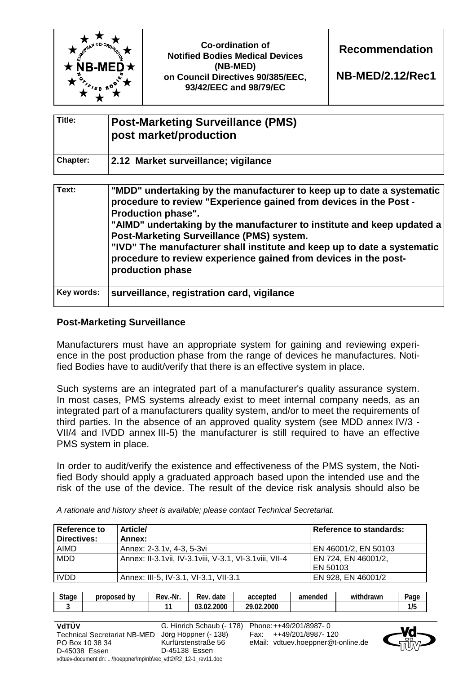| Title:   | <b>Post-Marketing Surveillance (PMS)</b><br>post market/production |
|----------|--------------------------------------------------------------------|
| Chapter: | 2.12 Market surveillance; vigilance                                |

| Text:      | "MDD" undertaking by the manufacturer to keep up to date a systematic<br>procedure to review "Experience gained from devices in the Post -<br><b>Production phase".</b><br>"AIMD" undertaking by the manufacturer to institute and keep updated a<br>Post-Marketing Surveillance (PMS) system.<br>"IVD" The manufacturer shall institute and keep up to date a systematic<br>procedure to review experience gained from devices in the post-<br>production phase |
|------------|------------------------------------------------------------------------------------------------------------------------------------------------------------------------------------------------------------------------------------------------------------------------------------------------------------------------------------------------------------------------------------------------------------------------------------------------------------------|
| Key words: | surveillance, registration card, vigilance                                                                                                                                                                                                                                                                                                                                                                                                                       |

## **Post-Marketing Surveillance**

Manufacturers must have an appropriate system for gaining and reviewing experience in the post production phase from the range of devices he manufactures. Notified Bodies have to audit/verify that there is an effective system in place.

Such systems are an integrated part of a manufacturer's quality assurance system. In most cases, PMS systems already exist to meet internal company needs, as an integrated part of a manufacturers quality system, and/or to meet the requirements of third parties. In the absence of an approved quality system (see MDD annex IV/3 - VII/4 and IVDD annex III-5) the manufacturer is still required to have an effective PMS system in place.

In order to audit/verify the existence and effectiveness of the PMS system, the Notified Body should apply a graduated approach based upon the intended use and the risk of the use of the device. The result of the device risk analysis should also be

| Reference to<br>Directives: | <b>Article/</b><br>Annex:                                 | <b>Reference to standards:</b> |
|-----------------------------|-----------------------------------------------------------|--------------------------------|
| AIMD                        | Annex: 2-3.1v, 4-3, 5-3vi                                 | EN 46001/2, EN 50103           |
| <b>MDD</b>                  | Annex: II-3.1 vii, IV-3.1 viii, V-3.1, VI-3.1 viii, VII-4 | EN 724, EN 46001/2,            |
|                             |                                                           | EN 50103                       |
| <b>IVDD</b>                 | Annex: III-5, IV-3.1, VI-3.1, VII-3.1                     | EN 928, EN 46001/2             |

*A rationale and history sheet is available; please contact Technical Secretariat.* 

| 4 A |               |  | accepted           | Rev<br>date | Rev.-Nr. | proposed by | <b>Stage</b> |
|-----|---------------|--|--------------------|-------------|----------|-------------|--------------|
|     | 1 I F<br>11 J |  | 2.2000<br>חר<br>ി? | 03.02.2000  |          |             |              |

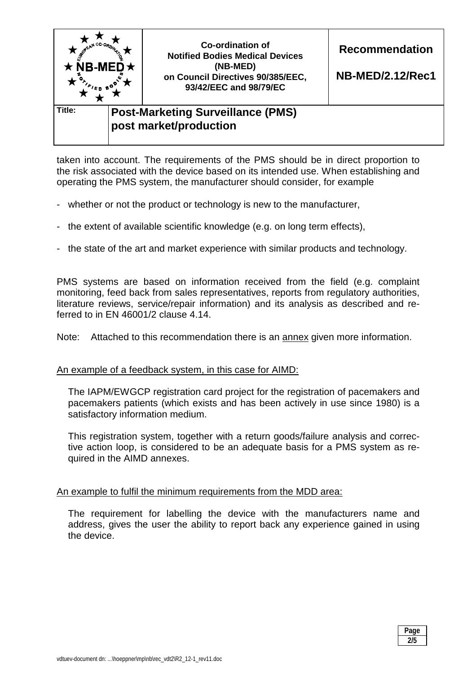

taken into account. The requirements of the PMS should be in direct proportion to the risk associated with the device based on its intended use. When establishing and operating the PMS system, the manufacturer should consider, for example

- whether or not the product or technology is new to the manufacturer,
- the extent of available scientific knowledge (e.g. on long term effects),
- the state of the art and market experience with similar products and technology.

PMS systems are based on information received from the field (e.g. complaint monitoring, feed back from sales representatives, reports from regulatory authorities, literature reviews, service/repair information) and its analysis as described and referred to in EN 46001/2 clause 4.14.

Note: Attached to this recommendation there is an annex given more information.

#### An example of a feedback system, in this case for AIMD:

The IAPM/EWGCP registration card project for the registration of pacemakers and pacemakers patients (which exists and has been actively in use since 1980) is a satisfactory information medium.

This registration system, together with a return goods/failure analysis and corrective action loop, is considered to be an adequate basis for a PMS system as required in the AIMD annexes.

#### An example to fulfil the minimum requirements from the MDD area:

The requirement for labelling the device with the manufacturers name and address, gives the user the ability to report back any experience gained in using the device.

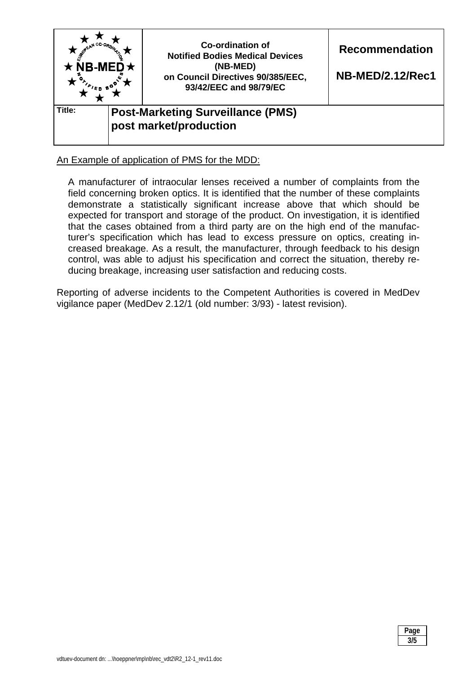

# An Example of application of PMS for the MDD:

A manufacturer of intraocular lenses received a number of complaints from the field concerning broken optics. It is identified that the number of these complaints demonstrate a statistically significant increase above that which should be expected for transport and storage of the product. On investigation, it is identified that the cases obtained from a third party are on the high end of the manufacturer's specification which has lead to excess pressure on optics, creating increased breakage. As a result, the manufacturer, through feedback to his design control, was able to adjust his specification and correct the situation, thereby reducing breakage, increasing user satisfaction and reducing costs.

Reporting of adverse incidents to the Competent Authorities is covered in MedDev vigilance paper (MedDev 2.12/1 (old number: 3/93) - latest revision).

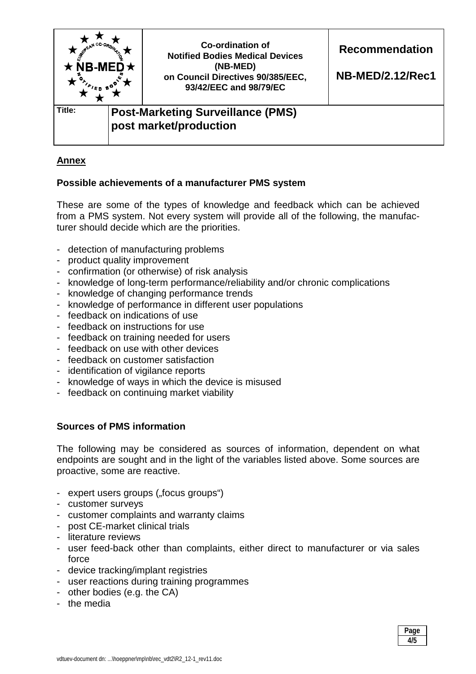

# **Annex**

## **Possible achievements of a manufacturer PMS system**

These are some of the types of knowledge and feedback which can be achieved from a PMS system. Not every system will provide all of the following, the manufacturer should decide which are the priorities.

- detection of manufacturing problems
- product quality improvement
- confirmation (or otherwise) of risk analysis
- knowledge of long-term performance/reliability and/or chronic complications
- knowledge of changing performance trends
- knowledge of performance in different user populations
- feedback on indications of use
- feedback on instructions for use
- feedback on training needed for users
- feedback on use with other devices
- feedback on customer satisfaction
- identification of vigilance reports
- knowledge of ways in which the device is misused
- feedback on continuing market viability

# **Sources of PMS information**

The following may be considered as sources of information, dependent on what endpoints are sought and in the light of the variables listed above. Some sources are proactive, some are reactive.

- expert users groups ("focus groups")
- customer surveys
- customer complaints and warranty claims
- post CE-market clinical trials
- literature reviews
- user feed-back other than complaints, either direct to manufacturer or via sales force
- device tracking/implant registries
- user reactions during training programmes
- other bodies (e.g. the CA)
- the media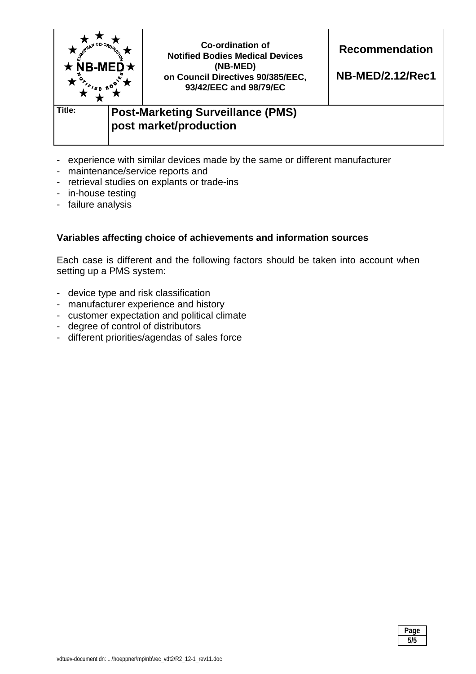

- experience with similar devices made by the same or different manufacturer
- maintenance/service reports and
- retrieval studies on explants or trade-ins
- in-house testing
- failure analysis

## **Variables affecting choice of achievements and information sources**

Each case is different and the following factors should be taken into account when setting up a PMS system:

- device type and risk classification
- manufacturer experience and history
- customer expectation and political climate
- degree of control of distributors
- different priorities/agendas of sales force

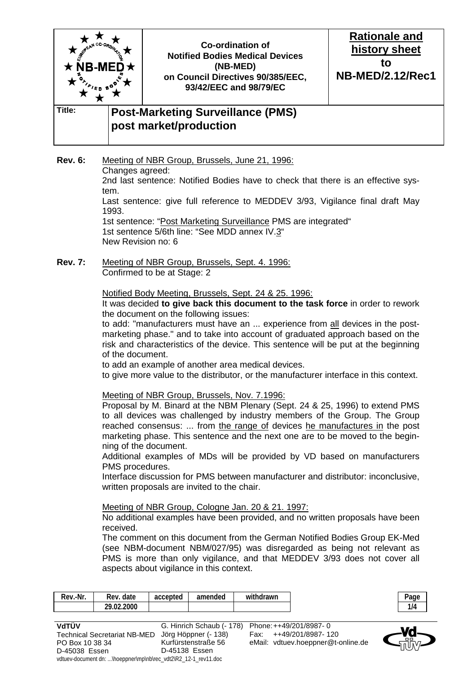

**Rev. 6:** Meeting of NBR Group, Brussels, June 21, 1996: Changes agreed: 2nd last sentence: Notified Bodies have to check that there is an effective system. Last sentence: give full reference to MEDDEV 3/93, Vigilance final draft May 1993. 1st sentence: "Post Marketing Surveillance PMS are integrated" 1st sentence 5/6th line: "See MDD annex IV.3" New Revision no: 6

**Rev. 7:** Meeting of NBR Group, Brussels, Sept. 4. 1996: Confirmed to be at Stage: 2

#### Notified Body Meeting, Brussels, Sept. 24 & 25. 1996:

 It was decided **to give back this document to the task force** in order to rework the document on the following issues:

 to add: "manufacturers must have an ... experience from all devices in the postmarketing phase." and to take into account of graduated approach based on the risk and characteristics of the device. This sentence will be put at the beginning of the document.

to add an example of another area medical devices.

to give more value to the distributor, or the manufacturer interface in this context.

Meeting of NBR Group, Brussels, Nov. 7.1996:

 Proposal by M. Binard at the NBM Plenary (Sept. 24 & 25, 1996) to extend PMS to all devices was challenged by industry members of the Group. The Group reached consensus: ... from the range of devices he manufactures in the post marketing phase. This sentence and the next one are to be moved to the beginning of the document.

 Additional examples of MDs will be provided by VD based on manufacturers PMS procedures.

 Interface discussion for PMS between manufacturer and distributor: inconclusive, written proposals are invited to the chair.

#### Meeting of NBR Group, Cologne Jan. 20 & 21. 1997:

 No additional examples have been provided, and no written proposals have been received.

 The comment on this document from the German Notified Bodies Group EK-Med (see NBM-document NBM/027/95) was disregarded as being not relevant as PMS is more than only vigilance, and that MEDDEV 3/93 does not cover all aspects about vigilance in this context.

| Rev.-Nr. | date<br>Rev.   | accepted | amended | withdrawn |
|----------|----------------|----------|---------|-----------|
|          | .02.2000<br>າດ |          |         |           |

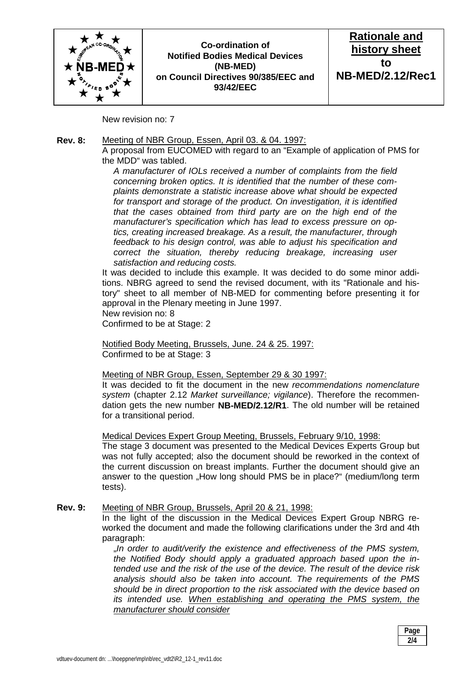

## **Co-ordination of Notified Bodies Medical Devices (NB-MED) on Council Directives 90/385/EEC and 93/42/EEC**



New revision no: 7

### **Rev. 8:** Meeting of NBR Group, Essen, April 03. & 04. 1997:

 A proposal from EUCOMED with regard to an "Example of application of PMS for the MDD" was tabled.

*A manufacturer of IOLs received a number of complaints from the field concerning broken optics. It is identified that the number of these complaints demonstrate a statistic increase above what should be expected for transport and storage of the product. On investigation, it is identified that the cases obtained from third party are on the high end of the manufacturer's specification which has lead to excess pressure on optics, creating increased breakage. As a result, the manufacturer, through feedback to his design control, was able to adjust his specification and correct the situation, thereby reducing breakage, increasing user satisfaction and reducing costs.* 

 It was decided to include this example. It was decided to do some minor additions. NBRG agreed to send the revised document, with its "Rationale and history" sheet to all member of NB-MED for commenting before presenting it for approval in the Plenary meeting in June 1997. New revision no: 8

Confirmed to be at Stage: 2

 Notified Body Meeting, Brussels, June. 24 & 25. 1997: Confirmed to be at Stage: 3

Meeting of NBR Group, Essen, September 29 & 30 1997:

 It was decided to fit the document in the new *recommendations nomenclature system* (chapter 2.12 *Market surveillance; vigilance*). Therefore the recommendation gets the new number **NB-MED/2.12/R1**. The old number will be retained for a transitional period.

Medical Devices Expert Group Meeting, Brussels, February 9/10, 1998:

 The stage 3 document was presented to the Medical Devices Experts Group but was not fully accepted; also the document should be reworked in the context of the current discussion on breast implants. Further the document should give an answer to the question "How long should PMS be in place?" (medium/long term tests).

#### **Rev. 9:** Meeting of NBR Group, Brussels, April 20 & 21, 1998:

 In the light of the discussion in the Medical Devices Expert Group NBRG reworked the document and made the following clarifications under the 3rd and 4th paragraph:

"*In order to audit/verify the existence and effectiveness of the PMS system, the Notified Body should apply a graduated approach based upon the intended use and the risk of the use of the device. The result of the device risk analysis should also be taken into account. The requirements of the PMS should be in direct proportion to the risk associated with the device based on its intended use. When establishing and operating the PMS system, the manufacturer should consider*

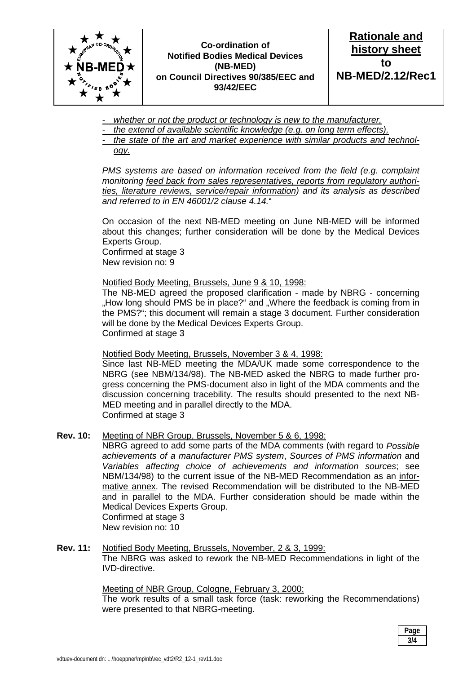

## **Co-ordination of Notified Bodies Medical Devices (NB-MED) on Council Directives 90/385/EEC and 93/42/EEC**



- *whether or not the product or technology is new to the manufacturer,*
- *the extend of available scientific knowledge (e.g. on long term effects),*
- *the state of the art and market experience with similar products and technology.*

*PMS systems are based on information received from the field (e.g. complaint monitoring feed back from sales representatives, reports from regulatory authorities, literature reviews, service/repair information) and its analysis as described and referred to in EN 46001/2 clause 4.14.*"

 On occasion of the next NB-MED meeting on June NB-MED will be informed about this changes; further consideration will be done by the Medical Devices Experts Group. Confirmed at stage 3

New revision no: 9

#### Notified Body Meeting, Brussels, June 9 & 10, 1998:

 The NB-MED agreed the proposed clarification - made by NBRG - concerning "How long should PMS be in place?" and "Where the feedback is coming from in the PMS?"; this document will remain a stage 3 document. Further consideration will be done by the Medical Devices Experts Group. Confirmed at stage 3

Notified Body Meeting, Brussels, November 3 & 4, 1998:

 Since last NB-MED meeting the MDA/UK made some correspondence to the NBRG (see NBM/134/98). The NB-MED asked the NBRG to made further progress concerning the PMS-document also in light of the MDA comments and the discussion concerning tracebility. The results should presented to the next NB-MED meeting and in parallel directly to the MDA. Confirmed at stage 3

**Rev. 10:** Meeting of NBR Group, Brussels, November 5 & 6, 1998:

 NBRG agreed to add some parts of the MDA comments (with regard to *Possible achievements of a manufacturer PMS system*, *Sources of PMS information* and *Variables affecting choice of achievements and information sources*; see NBM/134/98) to the current issue of the NB-MED Recommendation as an informative annex. The revised Recommendation will be distributed to the NB-MED and in parallel to the MDA. Further consideration should be made within the Medical Devices Experts Group. Confirmed at stage 3

New revision no: 10

**Rev. 11:** Notified Body Meeting, Brussels, November, 2 & 3, 1999: The NBRG was asked to rework the NB-MED Recommendations in light of the IVD-directive.

> Meeting of NBR Group, Cologne, February 3, 2000: The work results of a small task force (task: reworking the Recommendations) were presented to that NBRG-meeting.